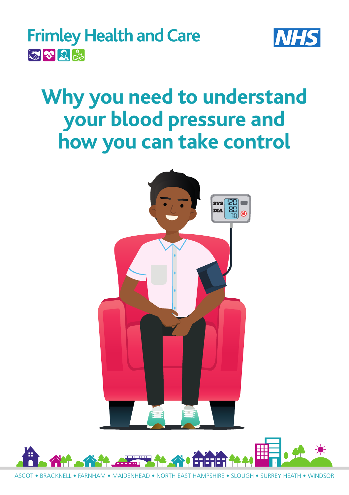



# **Why you need to understand your blood pressure and how you can take control**



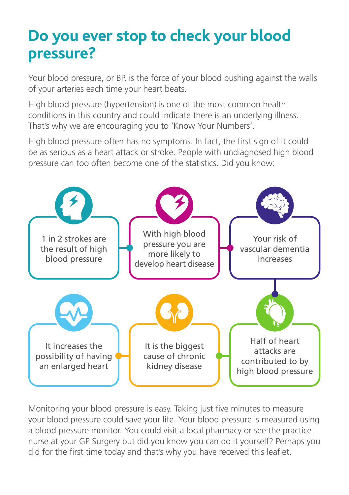### **Do you ever stop to check your blood pressure?**

Your blood pressure, or BP, is the force of your blood pushing against the walls of your arteries each time your heart beats.

High blood pressure (hypertension) is one of the most common health conditions in this country and could indicate there is an underlying illness. That's why we are encouraging you to 'Know Your Numbers'.

High blood pressure often has no symptoms. In fact, the first sign of it could be as serious as a heart attack or stroke. People with undiagnosed high blood pressure can too often become one of the statistics. Did you know:



Monitoring your blood pressure is easy. Taking just five minutes to measure your blood pressure could save your life. Your blood pressure is measured using a blood pressure monitor. You could visit a local pharmacy or see the practice nurse at your GP Surgery but did you know you can do it yourself? Perhaps you did for the first time today and that's why you have received this leaflet.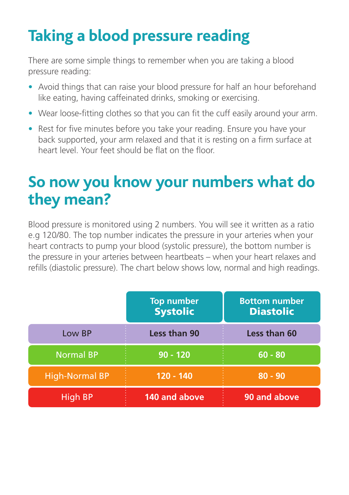## **Taking a blood pressure reading**

There are some simple things to remember when you are taking a blood pressure reading:

- Avoid things that can raise your blood pressure for half an hour beforehand like eating, having caffeinated drinks, smoking or exercising.
- Wear loose-fitting clothes so that you can fit the cuff easily around your arm.
- Rest for five minutes before you take your reading. Ensure you have your back supported, your arm relaxed and that it is resting on a firm surface at heart level. Your feet should be flat on the floor.

### **So now you know your numbers what do they mean?**

Blood pressure is monitored using 2 numbers. You will see it written as a ratio e.g 120/80. The top number indicates the pressure in your arteries when your heart contracts to pump your blood (systolic pressure), the bottom number is the pressure in your arteries between heartbeats – when your heart relaxes and refills (diastolic pressure). The chart below shows low, normal and high readings.

|                       | <b>Top number</b><br><b>Systolic</b> | <b>Bottom number</b><br><b>Diastolic</b> |
|-----------------------|--------------------------------------|------------------------------------------|
| Low BP                | <b>Less than 90</b>                  | <b>Less than 60</b>                      |
| <b>Normal BP</b>      | $90 - 120$                           | $60 - 80$                                |
| <b>High-Normal BP</b> | 120 - 140                            | $80 - 90$                                |
| High BP               | 140 and above                        | 90 and above                             |